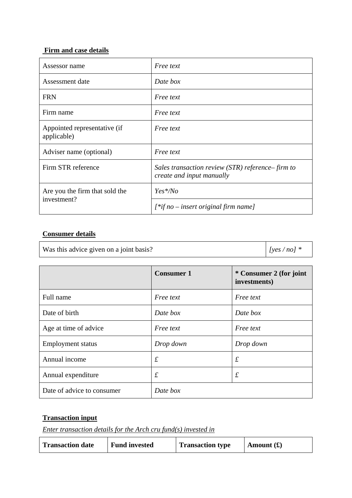## **Firm and case details**

| Assessor name                               | <i>Free text</i>                                                              |
|---------------------------------------------|-------------------------------------------------------------------------------|
| Assessment date                             | Date box                                                                      |
| <b>FRN</b>                                  | <i>Free text</i>                                                              |
| Firm name                                   | <i>Free text</i>                                                              |
| Appointed representative (if<br>applicable) | <i>Free text</i>                                                              |
| Adviser name (optional)                     | <i>Free text</i>                                                              |
| Firm STR reference                          | Sales transaction review (STR) reference–firm to<br>create and input manually |
| Are you the firm that sold the              | $Yes*/No$                                                                     |
| investment?                                 | $[$ *if no – insert original firm name]                                       |

## **Consumer details**

Was this advice given on a joint basis?  $\left| \int \frac{y \cos(n\pi)}{y \sin(n\pi)} \right|$ 

|                            | <b>Consumer 1</b> | * Consumer 2 (for joint<br>investments) |
|----------------------------|-------------------|-----------------------------------------|
| Full name                  | Free text         | <i>Free text</i>                        |
| Date of birth              | Date box          | Date box                                |
| Age at time of advice      | <i>Free text</i>  | <i>Free text</i>                        |
| <b>Employment</b> status   | Drop down         | Drop down                               |
| Annual income              | $\mathcal{L}_{0}$ | $\pounds$                               |
| Annual expenditure         | $\mathcal{L}_{0}$ | $\pounds$                               |
| Date of advice to consumer | Date box          |                                         |

## **Transaction input**

*Enter transaction details for the Arch cru fund(s) invested in*

| <b>Transaction date</b> | <b>Fund invested</b> | <b>Transaction type</b> | Amount $(\textbf{\pounds})$ |
|-------------------------|----------------------|-------------------------|-----------------------------|
|-------------------------|----------------------|-------------------------|-----------------------------|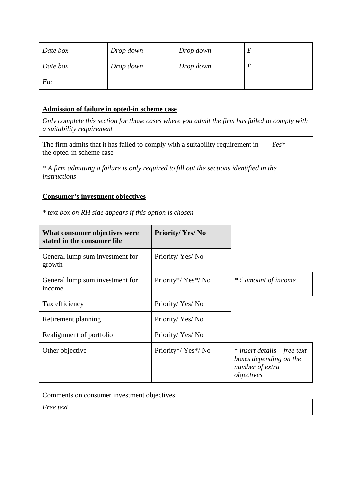| Date box | Drop down | Drop down | ∼ |
|----------|-----------|-----------|---|
| Date box | Drop down | Drop down | ∼ |
| Etc      |           |           |   |

## **Admission of failure in opted-in scheme case**

*Only complete this section for those cases where you admit the firm has failed to comply with a suitability requirement* 

| The firm admits that it has failed to comply with a suitability requirement in | $Yes*$ |
|--------------------------------------------------------------------------------|--------|
| the opted-in scheme case                                                       |        |

\* *A firm admitting a failure is only required to fill out the sections identified in the instructions* 

#### **Consumer's investment objectives**

*\* text box on RH side appears if this option is chosen* 

| What consumer objectives were<br>stated in the consumer file | <b>Priority/Yes/No</b> |                                                                                         |
|--------------------------------------------------------------|------------------------|-----------------------------------------------------------------------------------------|
| General lump sum investment for<br>growth                    | Priority/Yes/No        |                                                                                         |
| General lump sum investment for<br>income                    | Priority*/Yes*/No      | * £ amount of income                                                                    |
| Tax efficiency                                               | Priority/Yes/No        |                                                                                         |
| Retirement planning                                          | Priority/Yes/No        |                                                                                         |
| Realignment of portfolio                                     | Priority/Yes/No        |                                                                                         |
| Other objective                                              | Priority*/Yes*/No      | * insert details – free text<br>boxes depending on the<br>number of extra<br>objectives |

Comments on consumer investment objectives:

*Free text*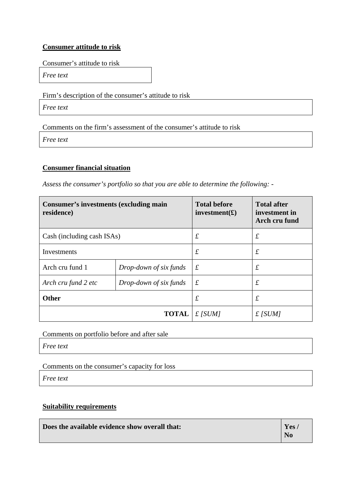## **Consumer attitude to risk**

Consumer's attitude to risk

*Free text* 

Firm's description of the consumer's attitude to risk

*Free text* 

Comments on the firm's assessment of the consumer's attitude to risk

*Free text* 

## **Consumer financial situation**

*Assess the consumer's portfolio so that you are able to determine the following: -*

| <b>Consumer's investments (excluding main</b><br>residence) |                        | <b>Total before</b><br>investment(f) | <b>Total after</b><br>investment in<br>Arch cru fund |
|-------------------------------------------------------------|------------------------|--------------------------------------|------------------------------------------------------|
| Cash (including cash ISAs)                                  |                        | $\pounds$                            | $\mathcal{L}_{\mathcal{L}}$                          |
| Investments                                                 |                        | $\pounds$                            | $\pounds$                                            |
| Arch cru fund 1                                             | Drop-down of six funds | $\mathcal{L}_{0}$                    | $\mathcal{L}_{\mathcal{L}}$                          |
| Arch cru fund 2 etc                                         | Drop-down of six funds | $\pounds$                            | $\mathcal{L}_{\mathcal{L}}$                          |
| <b>Other</b>                                                |                        | $\pounds$                            | £                                                    |
|                                                             | <b>TOTAL</b>           | $f$ [SUM]                            | $£$ [SUM]                                            |

Comments on portfolio before and after sale

*Free text*

Comments on the consumer's capacity for loss

*Free text*

## **Suitability requirements**

| Does the available evidence show overall that: | Yes                    |
|------------------------------------------------|------------------------|
|                                                | $\mathbf{N}\mathbf{0}$ |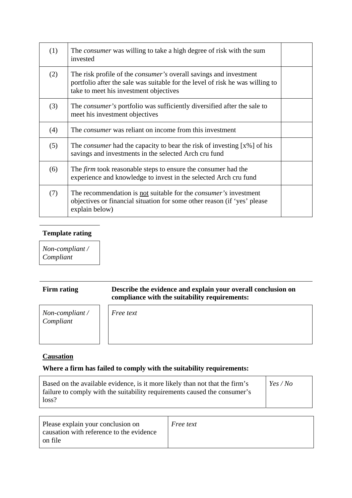| (1) | The <i>consumer</i> was willing to take a high degree of risk with the sum<br>invested                                                                                                              |  |
|-----|-----------------------------------------------------------------------------------------------------------------------------------------------------------------------------------------------------|--|
| (2) | The risk profile of the <i>consumer's</i> overall savings and investment<br>portfolio after the sale was suitable for the level of risk he was willing to<br>take to meet his investment objectives |  |
| (3) | The <i>consumer's</i> portfolio was sufficiently diversified after the sale to<br>meet his investment objectives                                                                                    |  |
| (4) | The <i>consumer</i> was reliant on income from this investment                                                                                                                                      |  |
| (5) | The <i>consumer</i> had the capacity to bear the risk of investing [x%] of his<br>savings and investments in the selected Arch cru fund                                                             |  |
| (6) | The <i>firm</i> took reasonable steps to ensure the consumer had the<br>experience and knowledge to invest in the selected Arch cru fund                                                            |  |
| (7) | The recommendation is not suitable for the <i>consumer's</i> investment<br>objectives or financial situation for some other reason (if 'yes' please<br>explain below)                               |  |

## **Template rating**

*Non-compliant / Compliant* 

## Firm rating **Describe the evidence and explain your overall conclusion on compliance with the suitability requirements:**

*Non-compliant / Compliant* 

*Free text* 

## **Causation**

## **Where a firm has failed to comply with the suitability requirements:**

| Based on the available evidence, is it more likely than not that the firm's | Yes/No |
|-----------------------------------------------------------------------------|--------|
| failure to comply with the suitability requirements caused the consumer's   |        |
| loss?                                                                       |        |

| Please explain your conclusion on        | <i>Free text</i> |
|------------------------------------------|------------------|
| causation with reference to the evidence |                  |
| on file                                  |                  |